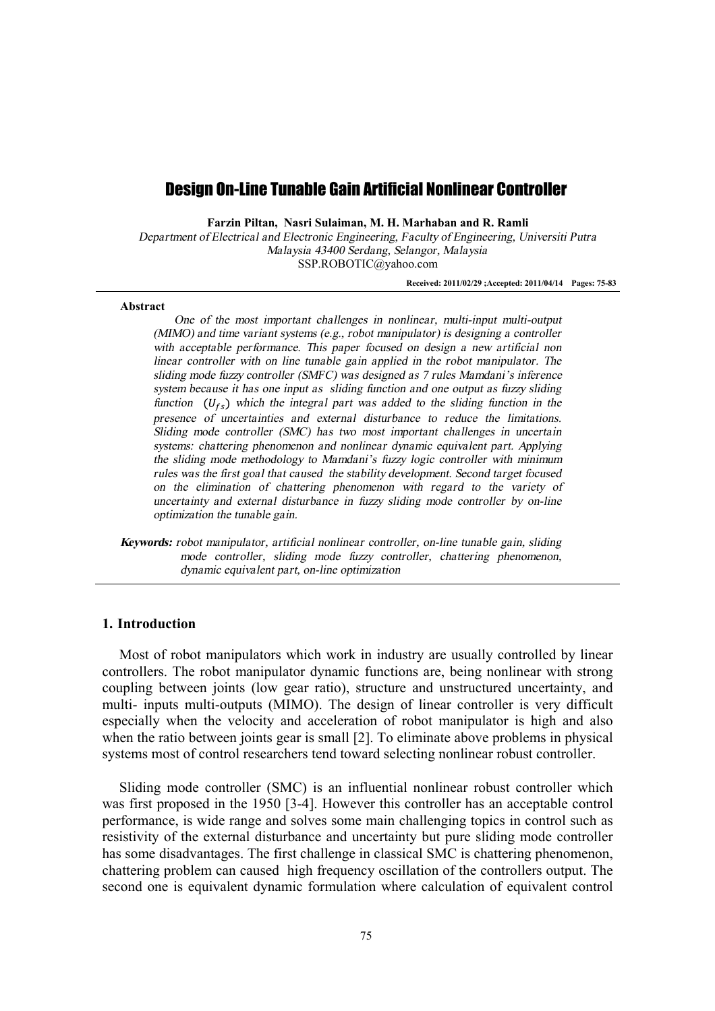# Design On-Line Tunable Gain Artificial Nonlinear Controller

**Farzin Piltan, Nasri Sulaiman, M. H. Marhaban and R. Ramli** 

*Department of Electrical and Electronic Engineering, Faculty of Engineering, Universiti Putra Malaysia 43400 Serdang, Selangor, Malaysia*  SSP.ROBOTIC@yahoo.com

**Received: 2011/02/29 ;Accepted: 2011/04/14 Pages: 75-83** 

#### **Abstract**

*One of the most important challenges in nonlinear, multi-input multi-output (MIMO) and time variant systems (e.g., robot manipulator) is designing <sup>a</sup> controller with acceptable performance. This paper focused on design <sup>a</sup> new artificial non linear controller with on line tunable gain applied in the robot manipulator. The sliding mode fuzzy controller (SMFC) was designed as 7 rules Mamdani'<sup>s</sup> inference system because it has one input as sliding function and one output as fuzzy sliding function*  $(U_f)$  *which the integral part was added to the sliding function in the presence of uncertainties and external disturbance to reduce the limitations. Sliding mode controller (SMC) has two most important challenges in uncertain systems: chattering phenomenon and nonlinear dynamic equivalent part. Applying the sliding mode methodology to Mamdani'<sup>s</sup> fuzzy logic controller with minimum rules was the first goal that caused the stability development. Second target focused on the elimination of chattering phenomenon with regard to the variety of uncertainty and external disturbance in fuzzy sliding mode controller by on-line optimization the tunable gain.* 

*Keywords: robot manipulator, artificial nonlinear controller, on-line tunable gain, sliding mode controller, sliding mode fuzzy controller, chattering phenomenon, dynamic equivalent part, on-line optimization* 

## **1. Introduction**

Most of robot manipulators which work in industry are usually controlled by linear controllers. The robot manipulator dynamic functions are, being nonlinear with strong coupling between joints (low gear ratio), structure and unstructured uncertainty, and multi- inputs multi-outputs (MIMO). The design of linear controller is very difficult especially when the velocity and acceleration of robot manipulator is high and also when the ratio between joints gear is small [2]. To eliminate above problems in physical systems most of control researchers tend toward selecting nonlinear robust controller.

Sliding mode controller (SMC) is an influential nonlinear robust controller which was first proposed in the 1950 [3-4]. However this controller has an acceptable control performance, is wide range and solves some main challenging topics in control such as resistivity of the external disturbance and uncertainty but pure sliding mode controller has some disadvantages. The first challenge in classical SMC is chattering phenomenon, chattering problem can caused high frequency oscillation of the controllers output. The second one is equivalent dynamic formulation where calculation of equivalent control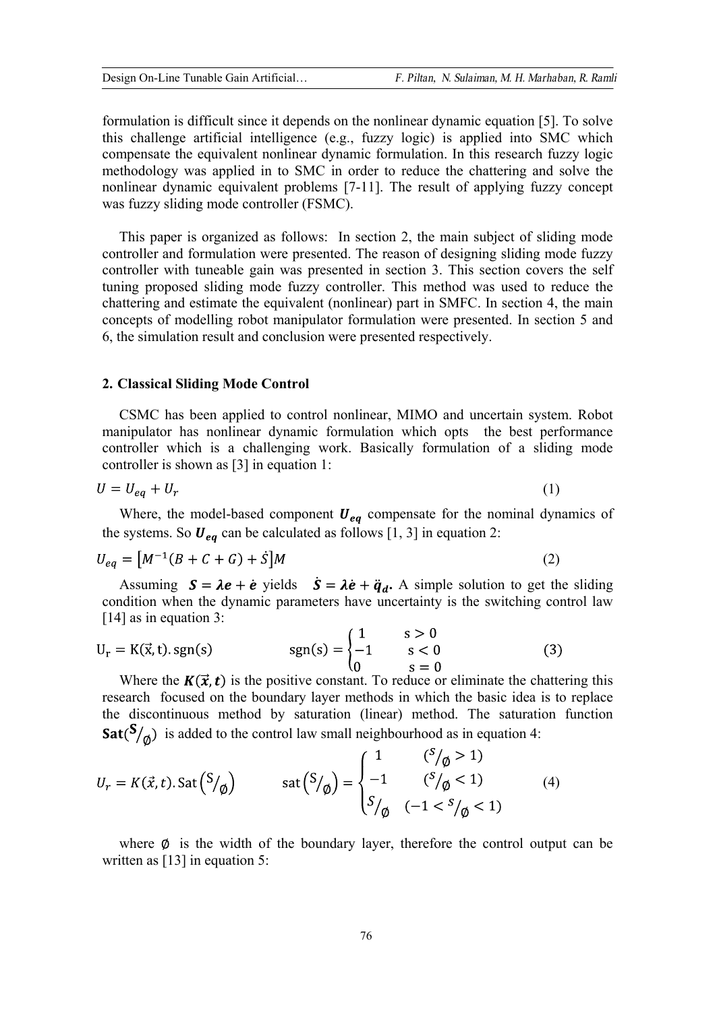formulation is difficult since it depends on the nonlinear dynamic equation [5]. To solve this challenge artificial intelligence (e.g., fuzzy logic) is applied into SMC which compensate the equivalent nonlinear dynamic formulation. In this research fuzzy logic methodology was applied in to SMC in order to reduce the chattering and solve the nonlinear dynamic equivalent problems [7-11]. The result of applying fuzzy concept was fuzzy sliding mode controller (FSMC).

This paper is organized as follows: In section 2, the main subject of sliding mode controller and formulation were presented. The reason of designing sliding mode fuzzy controller with tuneable gain was presented in section 3. This section covers the self tuning proposed sliding mode fuzzy controller. This method was used to reduce the chattering and estimate the equivalent (nonlinear) part in SMFC. In section 4, the main concepts of modelling robot manipulator formulation were presented. In section 5 and 6, the simulation result and conclusion were presented respectively.

### **2. Classical Sliding Mode Control**

CSMC has been applied to control nonlinear, MIMO and uncertain system. Robot manipulator has nonlinear dynamic formulation which opts the best performance controller which is a challenging work. Basically formulation of a sliding mode controller is shown as [3] in equation 1:

$$
U = U_{eq} + U_r \tag{1}
$$

Where, the model-based component  $U_{eq}$  compensate for the nominal dynamics of the systems. So  $U_{eq}$  can be calculated as follows [1, 3] in equation 2:

$$
U_{eq} = [M^{-1}(B + C + G) + \dot{S}]M
$$
 (2)

Assuming  $S = \lambda e + \dot{e}$  yields  $\dot{S} = \lambda \dot{e} + \ddot{q}_d$ . A simple solution to get the sliding condition when the dynamic parameters have uncertainty is the switching control law [14] as in equation 3:

$$
U_r = K(\vec{x}, t) \text{. sgn}(s) \qquad \text{sgn}(s) = \begin{cases} 1 & s > 0 \\ -1 & s < 0 \\ 0 & s = 0 \end{cases}
$$
 (3)

Where the  $K(\vec{x}, t)$  is the positive constant. To reduce or eliminate the chattering this research focused on the boundary layer methods in which the basic idea is to replace the discontinuous method by saturation (linear) method. The saturation function  $\text{Sat}(\mathcal{S}_{\setminus \emptyset})$  is added to the control law small neighbourhood as in equation 4:

$$
U_r = K(\vec{x}, t). \operatorname{Sat}(S/\phi) \qquad \operatorname{sat}\left(\frac{S}{\phi}\right) = \begin{cases} 1 & \binom{S}{\phi} > 1 \\ -1 & \binom{S}{\phi} < 1 \\ S/\phi & (-1 < \frac{S}{\phi} < 1) \end{cases} \tag{4}
$$

where  $\emptyset$  is the width of the boundary layer, therefore the control output can be written as [13] in equation 5: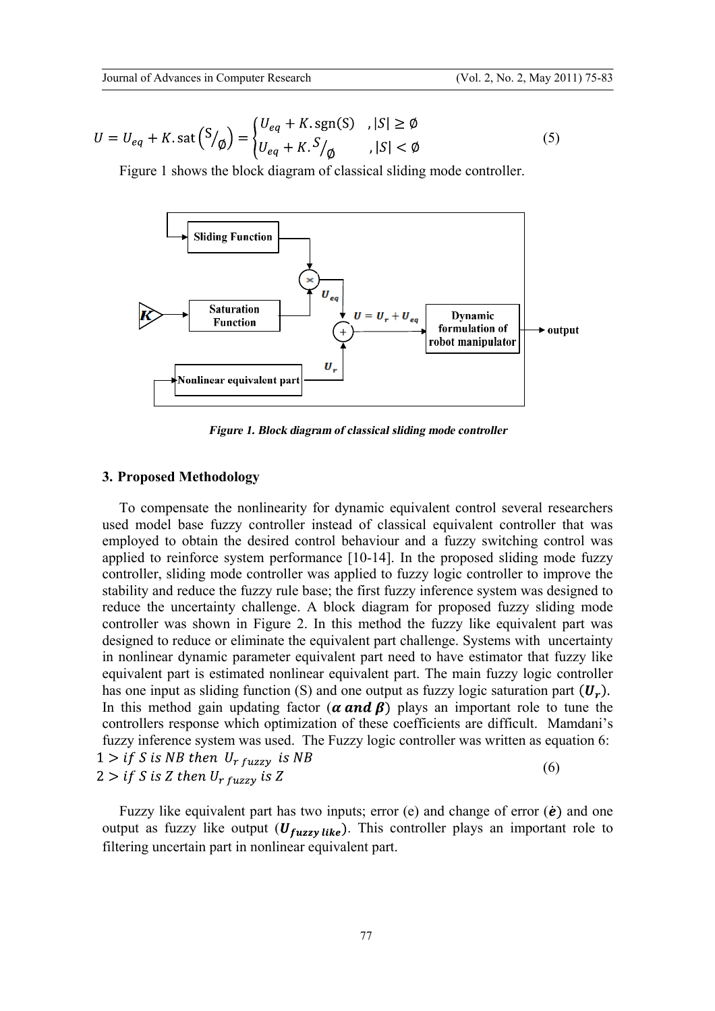$$
U = U_{eq} + K \text{.} \text{sat} \left( \frac{S}{\phi} \right) = \begin{cases} U_{eq} + K \text{.} \text{sgn(S)} & |S| \ge \emptyset \\ U_{eq} + K \text{.} \frac{S}{\phi} & |S| < \emptyset \end{cases} \tag{5}
$$

Figure 1 shows the block diagram of classical sliding mode controller.



*Figure 1. Blockdiagram of classical sliding mode controller*

### **3. Proposed Methodology**

To compensate the nonlinearity for dynamic equivalent control several researchers used model base fuzzy controller instead of classical equivalent controller that was employed to obtain the desired control behaviour and a fuzzy switching control was applied to reinforce system performance [10-14]. In the proposed sliding mode fuzzy controller, sliding mode controller was applied to fuzzy logic controller to improve the stability and reduce the fuzzy rule base; the first fuzzy inference system was designed to reduce the uncertainty challenge. A block diagram for proposed fuzzy sliding mode controller was shown in Figure 2. In this method the fuzzy like equivalent part was designed to reduce or eliminate the equivalent part challenge. Systems with uncertainty in nonlinear dynamic parameter equivalent part need to have estimator that fuzzy like equivalent part is estimated nonlinear equivalent part. The main fuzzy logic controller has one input as sliding function (S) and one output as fuzzy logic saturation part  $(U_r)$ . In this method gain updating factor ( $\alpha$  and  $\beta$ ) plays an important role to tune the controllers response which optimization of these coefficients are difficult. Mamdani's fuzzy inference system was used. The Fuzzy logic controller was written as equation 6:  $1 > if S is NB then U<sub>r fuzzy</sub> is NB$ (6)  $2 > if S is Z then U_{r fuzzy} is Z$ 

Fuzzy like equivalent part has two inputs; error (e) and change of error  $(\dot{e})$  and one output as fuzzy like output  $(U_{fuzzy like})$ . This controller plays an important role to filtering uncertain part in nonlinear equivalent part.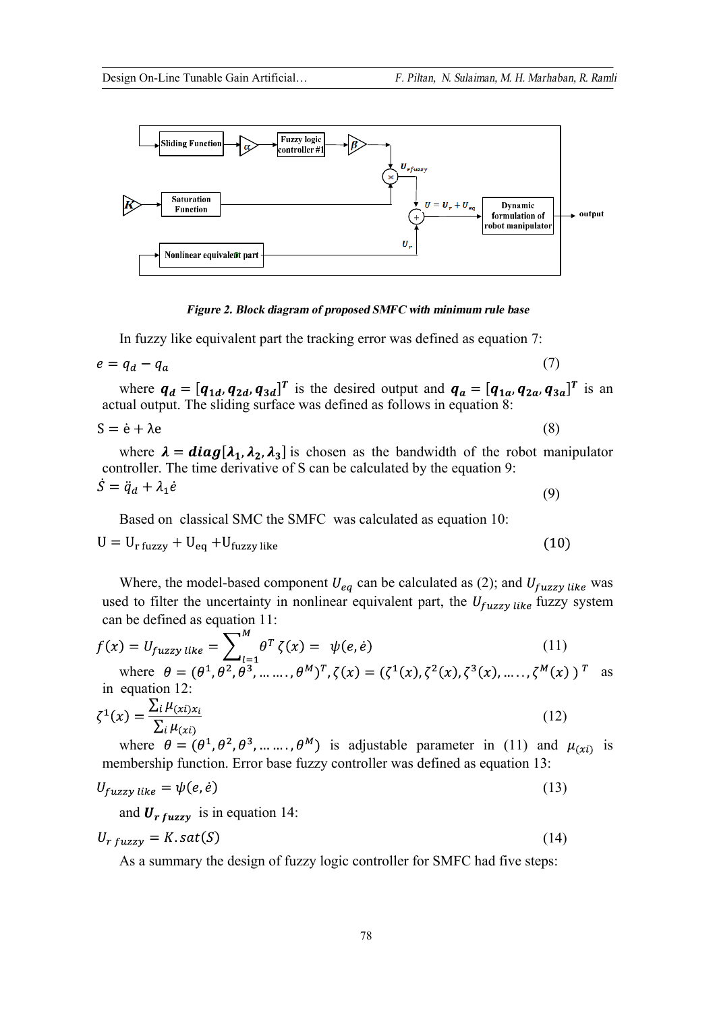$(10)$ 



#### *Figure 2. Blockdiagram of proposed SMFC with minimum rule base*

In fuzzy like equivalent part the tracking error was defined as equation 7:

$$
e = q_d - q_a \tag{7}
$$

where  $q_d = [q_{1d}, q_{2d}, q_{3d}]^T$  is the desired output and  $q_a = [q_{1a}, q_{2a}, q_{3a}]^T$  is an actual output. The sliding surface was defined as follows in equation 8:

$$
S = \dot{e} + \lambda e \tag{8}
$$

where  $\lambda = diag[\lambda_1, \lambda_2, \lambda_3]$  is chosen as the bandwidth of the robot manipulator controller. The time derivative of S can be calculated by the equation 9:  $\dot{S} = \ddot{q}_d + \lambda_1 \dot{e}$ (9)

Based on classical SMC the SMFC was calculated as equation 10:

 $U = U_{r \text{ fuzzy}} + U_{eq} + U_{fuzzy like}$ 

Where, the model-based component  $U_{ea}$  can be calculated as (2); and  $U_{fuzzy like}$  was used to filter the uncertainty in nonlinear equivalent part, the  $U_{fuzzy like}$  fuzzy system can be defined as equation 11:

$$
f(x) = U_{fuzzy\ like} = \sum_{l=1}^{M} \theta^{T} \zeta(x) = \psi(e, \dot{e})
$$
(11)  
where  $\theta = (\theta^{1}, \theta^{2}, \theta^{3}, \dots, \theta^{M})^{T}, \zeta(x) = (\zeta^{1}(x), \zeta^{2}(x), \zeta^{3}(x), \dots, \zeta^{M}(x))^{T}$  as

in equation 12:

$$
\zeta^1(x) = \frac{\sum_i \mu_{(xi)x_i}}{\sum_i \mu_{(xi)}}\tag{12}
$$

where  $\theta = (\theta^1, \theta^2, \theta^3, \dots, \theta^M)$  is adjustable parameter in (11) and  $\mu_{(xi)}$  is membership function. Error base fuzzy controller was defined as equation 13:

$$
U_{fuzzy like} = \psi(e, \dot{e}) \tag{13}
$$

and  $U_{r fuzzy}$  is in equation 14:

$$
U_{r fuzzy} = K \cdot sat(S) \tag{14}
$$

As a summary the design of fuzzy logic controller for SMFC had five steps: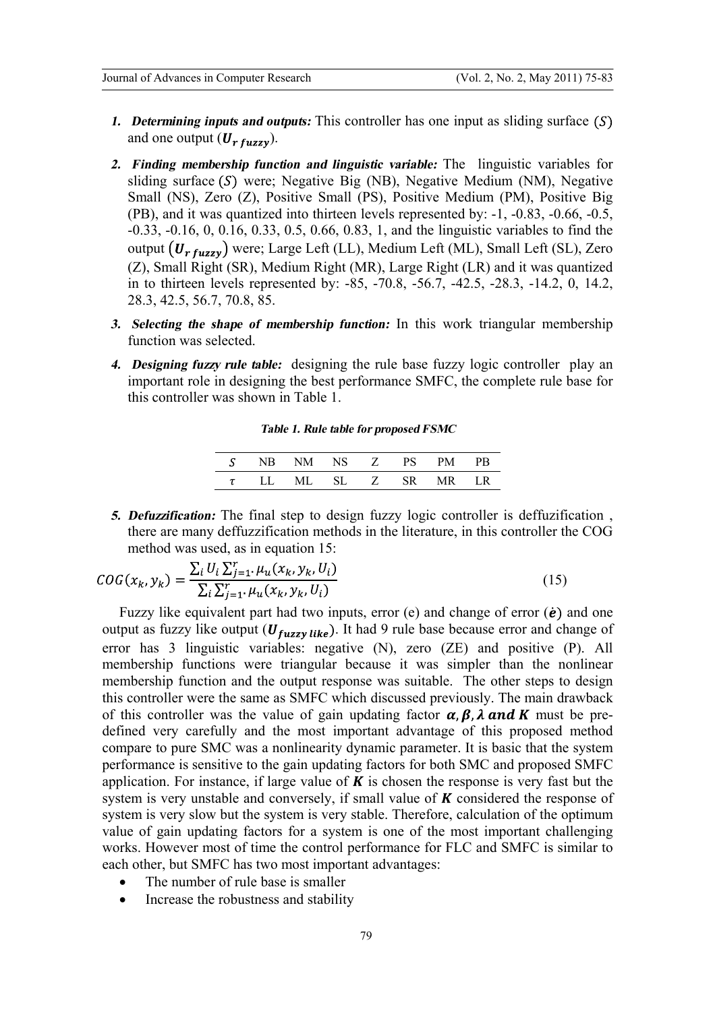- *1. Determining inputs and outputs:* This controller has one input as sliding surface and one output  $(U_{r \, fuzzy})$ .
- *2. Finding membership function and linguistic variable:* The linguistic variables for sliding surface  $(S)$  were; Negative Big (NB), Negative Medium (NM), Negative Small (NS), Zero (Z), Positive Small (PS), Positive Medium (PM), Positive Big (PB), and it was quantized into thirteen levels represented by: -1, -0.83, -0.66, -0.5, -0.33, -0.16, 0, 0.16, 0.33, 0.5, 0.66, 0.83, 1, and the linguistic variables to find the output  $(U_{r fuzzy})$  were; Large Left (LL), Medium Left (ML), Small Left (SL), Zero (Z), Small Right (SR), Medium Right (MR), Large Right (LR) and it was quantized in to thirteen levels represented by: -85, -70.8, -56.7, -42.5, -28.3, -14.2, 0, 14.2, 28.3, 42.5, 56.7, 70.8, 85.
- *3. Selecting the shape of membership function:* In this work triangular membership function was selected.
- *4. Designing fuzzy rule table:* designing the rule base fuzzy logic controller play an important role in designing the best performance SMFC, the complete rule base for this controller was shown in Table 1.

| <b>Table 1. Rule table for proposed FSMC</b> |  |  |  |  |  |
|----------------------------------------------|--|--|--|--|--|
|----------------------------------------------|--|--|--|--|--|

|  | S NB NM NS Z PS            |  | PM 3 | PB. |
|--|----------------------------|--|------|-----|
|  | $\tau$ LL ML SL Z SR MR LR |  |      |     |

*5. Defuzzification:* The final step to design fuzzy logic controller is deffuzification , there are many deffuzzification methods in the literature, in this controller the COG method was used, as in equation 15:

$$
COG(x_k, y_k) = \frac{\sum_i U_i \sum_{j=1}^r \mu_u(x_k, y_k, U_i)}{\sum_i \sum_{j=1}^r \mu_u(x_k, y_k, U_i)}
$$
(15)

Fuzzy like equivalent part had two inputs, error (e) and change of error  $(*e*)$  and one output as fuzzy like output ( $U_{fuzzy like}$ ). It had 9 rule base because error and change of error has 3 linguistic variables: negative (N), zero (ZE) and positive (P). All membership functions were triangular because it was simpler than the nonlinear membership function and the output response was suitable. The other steps to design this controller were the same as SMFC which discussed previously. The main drawback of this controller was the value of gain updating factor  $\alpha$ ,  $\beta$ ,  $\lambda$  and K must be predefined very carefully and the most important advantage of this proposed method compare to pure SMC was a nonlinearity dynamic parameter. It is basic that the system performance is sensitive to the gain updating factors for both SMC and proposed SMFC application. For instance, if large value of  $K$  is chosen the response is very fast but the system is very unstable and conversely, if small value of  $\boldsymbol{K}$  considered the response of system is very slow but the system is very stable. Therefore, calculation of the optimum value of gain updating factors for a system is one of the most important challenging works. However most of time the control performance for FLC and SMFC is similar to each other, but SMFC has two most important advantages:

- The number of rule base is smaller
- Increase the robustness and stability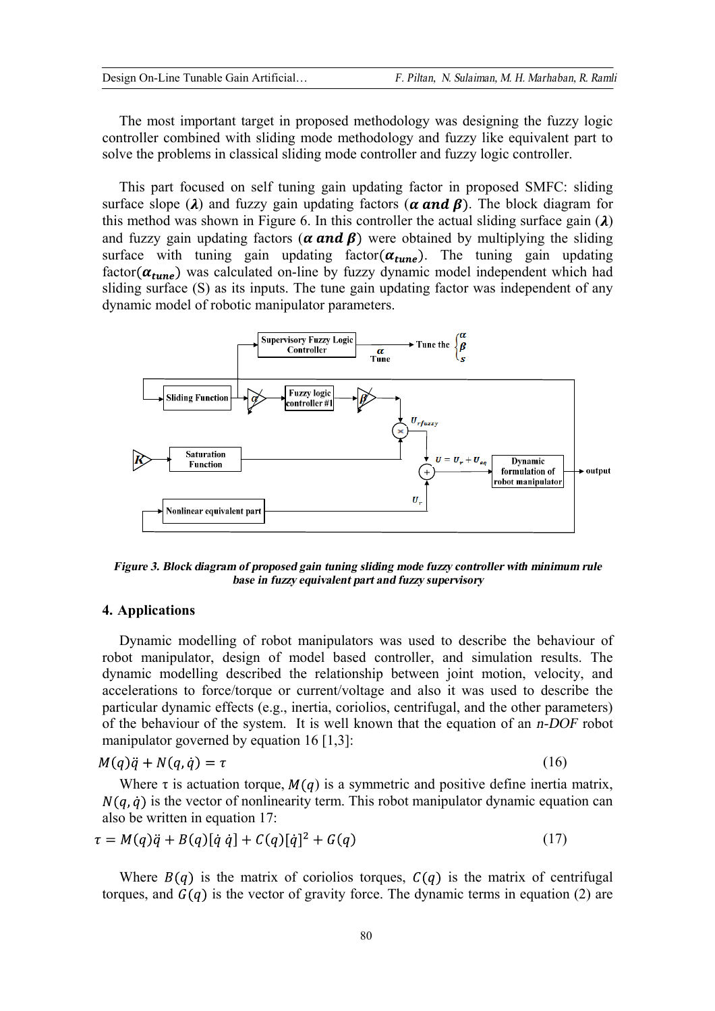The most important target in proposed methodology was designing the fuzzy logic controller combined with sliding mode methodology and fuzzy like equivalent part to solve the problems in classical sliding mode controller and fuzzy logic controller.

This part focused on self tuning gain updating factor in proposed SMFC: sliding surface slope ( $\lambda$ ) and fuzzy gain updating factors ( $\alpha$  and  $\beta$ ). The block diagram for this method was shown in Figure 6. In this controller the actual sliding surface gain  $(\lambda)$ and fuzzy gain updating factors ( $\alpha$  and  $\beta$ ) were obtained by multiplying the sliding surface with tuning gain updating factor  $(\alpha_{tune})$ . The tuning gain updating factor( $\alpha_{tune}$ ) was calculated on-line by fuzzy dynamic model independent which had sliding surface (S) as its inputs. The tune gain updating factor was independent of any dynamic model of robotic manipulator parameters.



*Figure 3. Blockdiagram of proposed gain tuning sliding mode fuzzy controller with minimum rule base in fuzzy equivalent part andfuzzy supervisory* 

# **4. Applications**

Dynamic modelling of robot manipulators was used to describe the behaviour of robot manipulator, design of model based controller, and simulation results. The dynamic modelling described the relationship between joint motion, velocity, and accelerations to force/torque or current/voltage and also it was used to describe the particular dynamic effects (e.g., inertia, coriolios, centrifugal, and the other parameters) of the behaviour of the system. It is well known that the equation of an *n-DOF* robot manipulator governed by equation 16 [1,3]:

$$
M(q)\ddot{q} + N(q,\dot{q}) = \tau \tag{16}
$$

Where  $\tau$  is actuation torque,  $M(q)$  is a symmetric and positive define inertia matrix,  $N(q, \dot{q})$  is the vector of nonlinearity term. This robot manipulator dynamic equation can also be written in equation 17:

$$
\tau = M(q)\ddot{q} + B(q)[\dot{q}\dot{q}] + C(q)[\dot{q}]^{2} + G(q)
$$
\n(17)

Where  $B(q)$  is the matrix of coriolios torques,  $C(q)$  is the matrix of centrifugal torques, and  $G(q)$  is the vector of gravity force. The dynamic terms in equation (2) are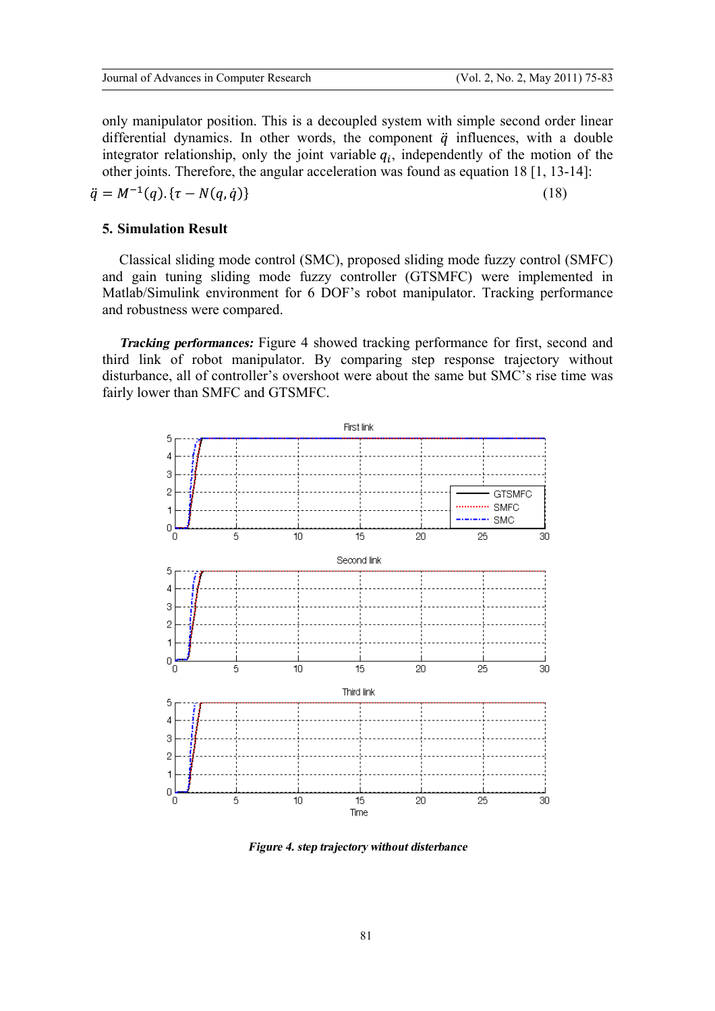only manipulator position. This is a decoupled system with simple second order linear differential dynamics. In other words, the component  $\ddot{q}$  influences, with a double integrator relationship, only the joint variable  $q_i$ , independently of the motion of the other joints. Therefore, the angular acceleration was found as equation 18 [1, 13-14]:

(18)

# **5. Simulation Result**

Classical sliding mode control (SMC), proposed sliding mode fuzzy control (SMFC) and gain tuning sliding mode fuzzy controller (GTSMFC) were implemented in Matlab/Simulink environment for 6 DOF's robot manipulator. Tracking performance and robustness were compared.

*Tracking performances:* Figure 4 showed tracking performance for first, second and third link of robot manipulator. By comparing step response trajectory without disturbance, all of controller's overshoot were about the same but SMC's rise time was fairly lower than SMFC and GTSMFC.



**Figure 4. step trajectory without disterbance**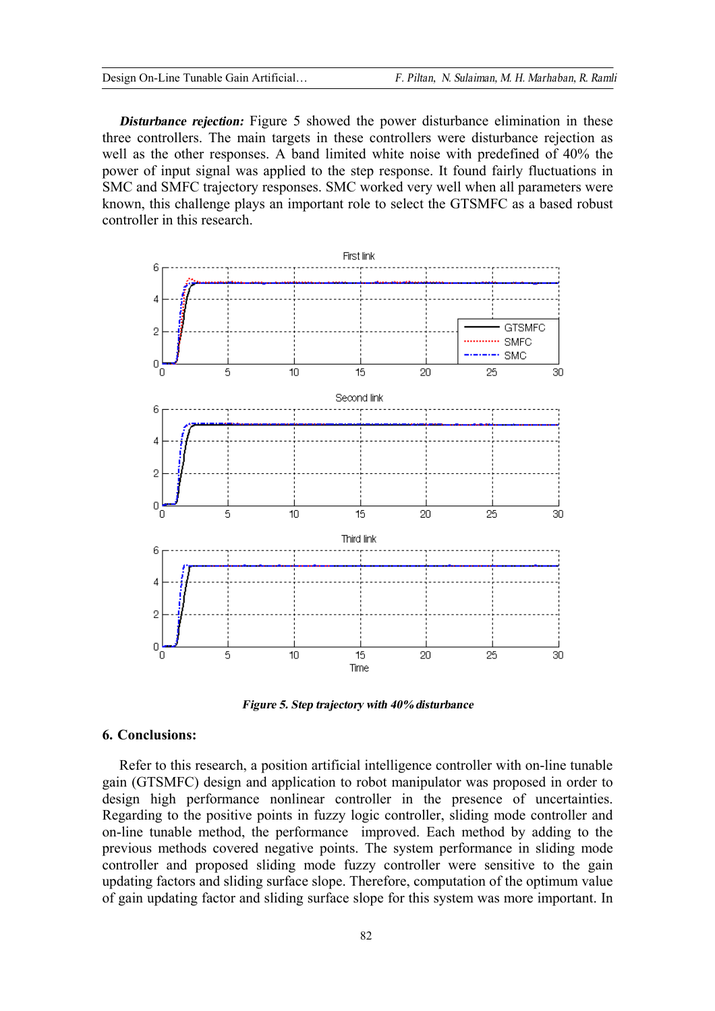*Disturbance rejection:* Figure 5 showed the power disturbance elimination in these three controllers. The main targets in these controllers were disturbance rejection as well as the other responses. A band limited white noise with predefined of 40% the power of input signal was applied to the step response. It found fairly fluctuations in SMC and SMFC trajectory responses. SMC worked very well when all parameters were known, this challenge plays an important role to select the GTSMFC as a based robust controller in this research.



*Figure 5. Steptrajectory with 40%disturbance* 

### **6. Conclusions:**

Refer to this research, a position artificial intelligence controller with on-line tunable gain (GTSMFC) design and application to robot manipulator was proposed in order to design high performance nonlinear controller in the presence of uncertainties. Regarding to the positive points in fuzzy logic controller, sliding mode controller and on-line tunable method, the performance improved. Each method by adding to the previous methods covered negative points. The system performance in sliding mode controller and proposed sliding mode fuzzy controller were sensitive to the gain updating factors and sliding surface slope. Therefore, computation of the optimum value of gain updating factor and sliding surface slope for this system was more important. In